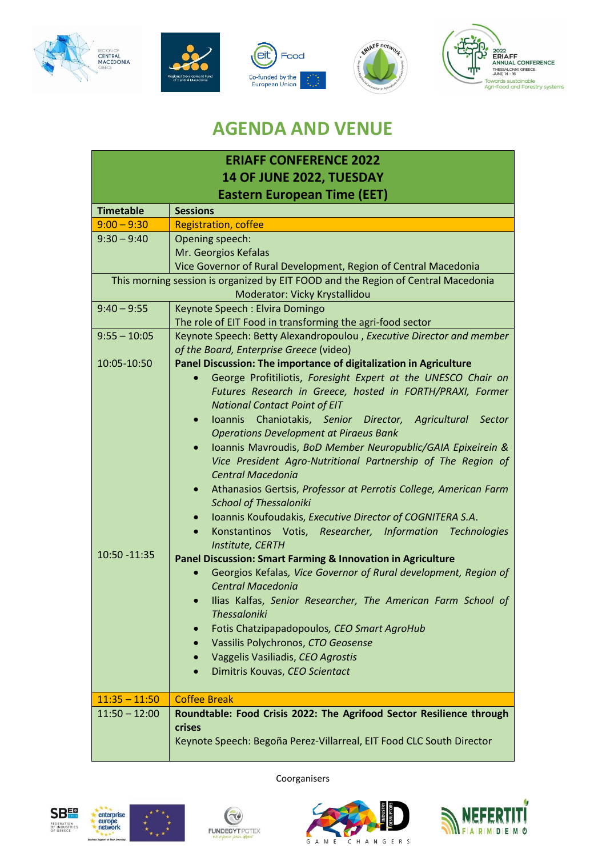









## **AGENDA AND VENUE**

| <b>ERIAFF CONFERENCE 2022</b>                                                     |                                                                                                                                                                                                                                                                                                                                        |  |
|-----------------------------------------------------------------------------------|----------------------------------------------------------------------------------------------------------------------------------------------------------------------------------------------------------------------------------------------------------------------------------------------------------------------------------------|--|
| 14 OF JUNE 2022, TUESDAY                                                          |                                                                                                                                                                                                                                                                                                                                        |  |
| <b>Eastern European Time (EET)</b>                                                |                                                                                                                                                                                                                                                                                                                                        |  |
| <b>Timetable</b>                                                                  | <b>Sessions</b>                                                                                                                                                                                                                                                                                                                        |  |
| $9:00 - 9:30$                                                                     | <b>Registration, coffee</b>                                                                                                                                                                                                                                                                                                            |  |
| $9:30 - 9:40$                                                                     | Opening speech:                                                                                                                                                                                                                                                                                                                        |  |
|                                                                                   | Mr. Georgios Kefalas                                                                                                                                                                                                                                                                                                                   |  |
|                                                                                   | Vice Governor of Rural Development, Region of Central Macedonia                                                                                                                                                                                                                                                                        |  |
| This morning session is organized by EIT FOOD and the Region of Central Macedonia |                                                                                                                                                                                                                                                                                                                                        |  |
|                                                                                   | Moderator: Vicky Krystallidou                                                                                                                                                                                                                                                                                                          |  |
| $9:40 - 9:55$                                                                     | Keynote Speech: Elvira Domingo                                                                                                                                                                                                                                                                                                         |  |
|                                                                                   | The role of EIT Food in transforming the agri-food sector                                                                                                                                                                                                                                                                              |  |
| $9:55 - 10:05$                                                                    | Keynote Speech: Betty Alexandropoulou, Executive Director and member<br>of the Board, Enterprise Greece (video)                                                                                                                                                                                                                        |  |
| 10:05-10:50                                                                       | Panel Discussion: The importance of digitalization in Agriculture                                                                                                                                                                                                                                                                      |  |
|                                                                                   | George Profitiliotis, Foresight Expert at the UNESCO Chair on                                                                                                                                                                                                                                                                          |  |
|                                                                                   | Futures Research in Greece, hosted in FORTH/PRAXI, Former                                                                                                                                                                                                                                                                              |  |
|                                                                                   | <b>National Contact Point of EIT</b>                                                                                                                                                                                                                                                                                                   |  |
|                                                                                   | Ioannis Chaniotakis, Senior Director, Agricultural<br>Sector<br>$\bullet$                                                                                                                                                                                                                                                              |  |
|                                                                                   | <b>Operations Development at Piraeus Bank</b>                                                                                                                                                                                                                                                                                          |  |
|                                                                                   | Ioannis Mavroudis, BoD Member Neuropublic/GAIA Epixeirein &<br>$\bullet$                                                                                                                                                                                                                                                               |  |
|                                                                                   | Vice President Agro-Nutritional Partnership of The Region of                                                                                                                                                                                                                                                                           |  |
|                                                                                   | <b>Central Macedonia</b>                                                                                                                                                                                                                                                                                                               |  |
|                                                                                   | Athanasios Gertsis, Professor at Perrotis College, American Farm                                                                                                                                                                                                                                                                       |  |
|                                                                                   |                                                                                                                                                                                                                                                                                                                                        |  |
|                                                                                   |                                                                                                                                                                                                                                                                                                                                        |  |
|                                                                                   |                                                                                                                                                                                                                                                                                                                                        |  |
| 10:50 - 11:35                                                                     |                                                                                                                                                                                                                                                                                                                                        |  |
|                                                                                   |                                                                                                                                                                                                                                                                                                                                        |  |
|                                                                                   | <b>Central Macedonia</b>                                                                                                                                                                                                                                                                                                               |  |
|                                                                                   | Ilias Kalfas, Senior Researcher, The American Farm School of                                                                                                                                                                                                                                                                           |  |
|                                                                                   | Thessaloniki                                                                                                                                                                                                                                                                                                                           |  |
|                                                                                   | Fotis Chatzipapadopoulos, CEO Smart AgroHub                                                                                                                                                                                                                                                                                            |  |
|                                                                                   | Vassilis Polychronos, CTO Geosense                                                                                                                                                                                                                                                                                                     |  |
|                                                                                   | Vaggelis Vasiliadis, CEO Agrostis<br>$\bullet$                                                                                                                                                                                                                                                                                         |  |
|                                                                                   | Dimitris Kouvas, CEO Scientact<br>$\bullet$                                                                                                                                                                                                                                                                                            |  |
|                                                                                   |                                                                                                                                                                                                                                                                                                                                        |  |
| $11:35 - 11:50$                                                                   | <b>Coffee Break</b>                                                                                                                                                                                                                                                                                                                    |  |
|                                                                                   | Roundtable: Food Crisis 2022: The Agrifood Sector Resilience through                                                                                                                                                                                                                                                                   |  |
|                                                                                   |                                                                                                                                                                                                                                                                                                                                        |  |
|                                                                                   |                                                                                                                                                                                                                                                                                                                                        |  |
|                                                                                   | <b>School of Thessaloniki</b><br>Ioannis Koufoudakis, Executive Director of COGNITERA S.A.<br>$\bullet$<br>Konstantinos Votis, Researcher, Information Technologies<br>$\bullet$<br>Institute, CERTH<br>Panel Discussion: Smart Farming & Innovation in Agriculture<br>Georgios Kefalas, Vice Governor of Rural development, Region of |  |
|                                                                                   |                                                                                                                                                                                                                                                                                                                                        |  |
|                                                                                   |                                                                                                                                                                                                                                                                                                                                        |  |
|                                                                                   |                                                                                                                                                                                                                                                                                                                                        |  |
|                                                                                   |                                                                                                                                                                                                                                                                                                                                        |  |
|                                                                                   |                                                                                                                                                                                                                                                                                                                                        |  |
|                                                                                   |                                                                                                                                                                                                                                                                                                                                        |  |
|                                                                                   |                                                                                                                                                                                                                                                                                                                                        |  |
| $11:50 - 12:00$                                                                   |                                                                                                                                                                                                                                                                                                                                        |  |
|                                                                                   | crises                                                                                                                                                                                                                                                                                                                                 |  |
|                                                                                   | Keynote Speech: Begoña Perez-Villarreal, EIT Food CLC South Director                                                                                                                                                                                                                                                                   |  |
|                                                                                   |                                                                                                                                                                                                                                                                                                                                        |  |





Coorganisers

 $\mathbf{C}$ 



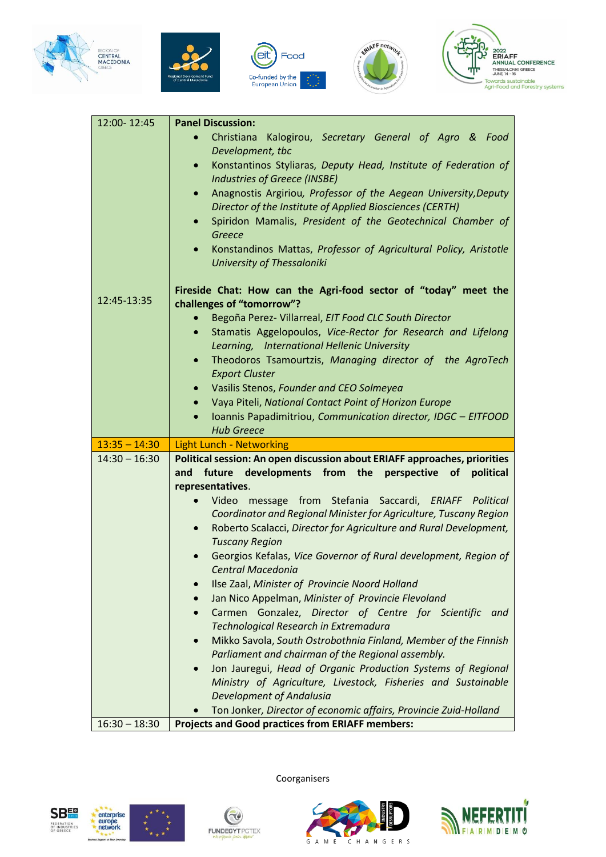









| 12:00-12:45     | <b>Panel Discussion:</b>                                                                            |
|-----------------|-----------------------------------------------------------------------------------------------------|
|                 | Christiana<br>Kalogirou, Secretary General of Agro & Food<br>$\bullet$                              |
|                 | Development, tbc                                                                                    |
|                 | Konstantinos Styliaras, Deputy Head, Institute of Federation of<br>$\bullet$                        |
|                 | <b>Industries of Greece (INSBE)</b>                                                                 |
|                 | Anagnostis Argiriou, Professor of the Aegean University, Deputy<br>$\bullet$                        |
|                 | Director of the Institute of Applied Biosciences (CERTH)                                            |
|                 | Spiridon Mamalis, President of the Geotechnical Chamber of<br>$\bullet$<br>Greece                   |
|                 | Konstandinos Mattas, Professor of Agricultural Policy, Aristotle<br>$\bullet$                       |
|                 | <b>University of Thessaloniki</b>                                                                   |
|                 | Fireside Chat: How can the Agri-food sector of "today" meet the                                     |
| 12:45-13:35     | challenges of "tomorrow"?                                                                           |
|                 | Begoña Perez- Villarreal, EIT Food CLC South Director                                               |
|                 | Stamatis Aggelopoulos, Vice-Rector for Research and Lifelong<br>$\bullet$                           |
|                 | Learning, International Hellenic University                                                         |
|                 | Theodoros Tsamourtzis, Managing director of the AgroTech<br>$\bullet$<br><b>Export Cluster</b>      |
|                 | Vasilis Stenos, Founder and CEO Solmeyea                                                            |
|                 | Vaya Piteli, National Contact Point of Horizon Europe                                               |
|                 | Ioannis Papadimitriou, Communication director, IDGC - EITFOOD<br>$\bullet$                          |
|                 |                                                                                                     |
|                 | <b>Hub Greece</b>                                                                                   |
| $13:35 - 14:30$ | <b>Light Lunch - Networking</b>                                                                     |
| $14:30 - 16:30$ | Political session: An open discussion about ERIAFF approaches, priorities                           |
|                 | from the<br>future<br>developments<br>perspective<br>of<br>and<br>political                         |
|                 | representatives.                                                                                    |
|                 | Video message from Stefania Saccardi, ERIAFF Political                                              |
|                 | Coordinator and Regional Minister for Agriculture, Tuscany Region                                   |
|                 | Roberto Scalacci, Director for Agriculture and Rural Development,<br>$\bullet$                      |
|                 | <b>Tuscany Region</b>                                                                               |
|                 | Georgios Kefalas, Vice Governor of Rural development, Region of<br>Central Macedonia                |
|                 | Ilse Zaal, Minister of Provincie Noord Holland<br>$\bullet$                                         |
|                 | Jan Nico Appelman, Minister of Provincie Flevoland                                                  |
|                 | Carmen Gonzalez, Director of Centre for Scientific<br>and<br>$\bullet$                              |
|                 | Technological Research in Extremadura                                                               |
|                 | Mikko Savola, South Ostrobothnia Finland, Member of the Finnish                                     |
|                 | Parliament and chairman of the Regional assembly.                                                   |
|                 | Jon Jauregui, Head of Organic Production Systems of Regional                                        |
|                 | Ministry of Agriculture, Livestock, Fisheries and Sustainable                                       |
|                 | <b>Development of Andalusia</b><br>Ton Jonker, Director of economic affairs, Provincie Zuid-Holland |





Coorganisers

 $\bigcirc$ 



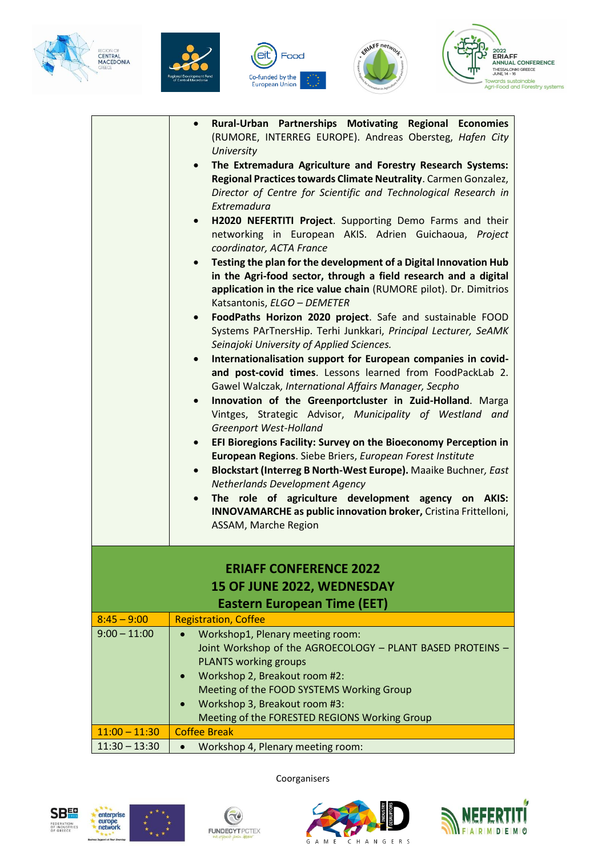









|                 | Rural-Urban Partnerships Motivating Regional Economies<br>$\bullet$<br>(RUMORE, INTERREG EUROPE). Andreas Obersteg, Hafen City           |
|-----------------|------------------------------------------------------------------------------------------------------------------------------------------|
|                 | <b>University</b>                                                                                                                        |
|                 | The Extremadura Agriculture and Forestry Research Systems:                                                                               |
|                 | Regional Practices towards Climate Neutrality. Carmen Gonzalez,                                                                          |
|                 | Director of Centre for Scientific and Technological Research in                                                                          |
|                 | Extremadura<br>H2020 NEFERTITI Project. Supporting Demo Farms and their<br>$\bullet$                                                     |
|                 | networking in European AKIS. Adrien Guichaoua, Project                                                                                   |
|                 | coordinator, ACTA France                                                                                                                 |
|                 | Testing the plan for the development of a Digital Innovation Hub<br>$\bullet$                                                            |
|                 | in the Agri-food sector, through a field research and a digital                                                                          |
|                 | application in the rice value chain (RUMORE pilot). Dr. Dimitrios                                                                        |
|                 | Katsantonis, ELGO - DEMETER                                                                                                              |
|                 | FoodPaths Horizon 2020 project. Safe and sustainable FOOD<br>$\bullet$<br>Systems PArTnersHip. Terhi Junkkari, Principal Lecturer, SeAMK |
|                 | Seinajoki University of Applied Sciences.                                                                                                |
|                 | Internationalisation support for European companies in covid-                                                                            |
|                 | and post-covid times. Lessons learned from FoodPackLab 2.                                                                                |
|                 | Gawel Walczak, International Affairs Manager, Secpho                                                                                     |
|                 | Innovation of the Greenportcluster in Zuid-Holland. Marga<br>$\bullet$                                                                   |
|                 | Vintges, Strategic Advisor, Municipality of Westland and<br>Greenport West-Holland                                                       |
|                 | EFI Bioregions Facility: Survey on the Bioeconomy Perception in<br>$\bullet$                                                             |
|                 | European Regions. Siebe Briers, European Forest Institute                                                                                |
|                 | Blockstart (Interreg B North-West Europe). Maaike Buchner, East<br>$\bullet$                                                             |
|                 | <b>Netherlands Development Agency</b>                                                                                                    |
|                 | The role of agriculture development agency on AKIS:<br>$\bullet$                                                                         |
|                 | INNOVAMARCHE as public innovation broker, Cristina Frittelloni,                                                                          |
|                 | ASSAM, Marche Region                                                                                                                     |
|                 |                                                                                                                                          |
|                 | <b>ERIAFF CONFERENCE 2022</b>                                                                                                            |
|                 | 15 OF JUNE 2022, WEDNESDAY                                                                                                               |
|                 | <b>Eastern European Time (EET)</b>                                                                                                       |
| $8:45 - 9:00$   | <b>Registration, Coffee</b>                                                                                                              |
| $9:00 - 11:00$  | Workshop1, Plenary meeting room:<br>$\bullet$                                                                                            |
|                 | Joint Workshop of the AGROECOLOGY - PLANT BASED PROTEINS -                                                                               |
|                 | <b>PLANTS working groups</b>                                                                                                             |
|                 | Workshop 2, Breakout room #2:<br>Meeting of the FOOD SYSTEMS Working Group                                                               |
|                 | Workshop 3, Breakout room #3:                                                                                                            |
|                 | Meeting of the FORESTED REGIONS Working Group                                                                                            |
| $11:00 - 11:30$ | <b>Coffee Break</b>                                                                                                                      |
| $11:30 - 13:30$ | Workshop 4, Plenary meeting room:<br>$\bullet$                                                                                           |





Coorganisers

 $\bigcirc$ 



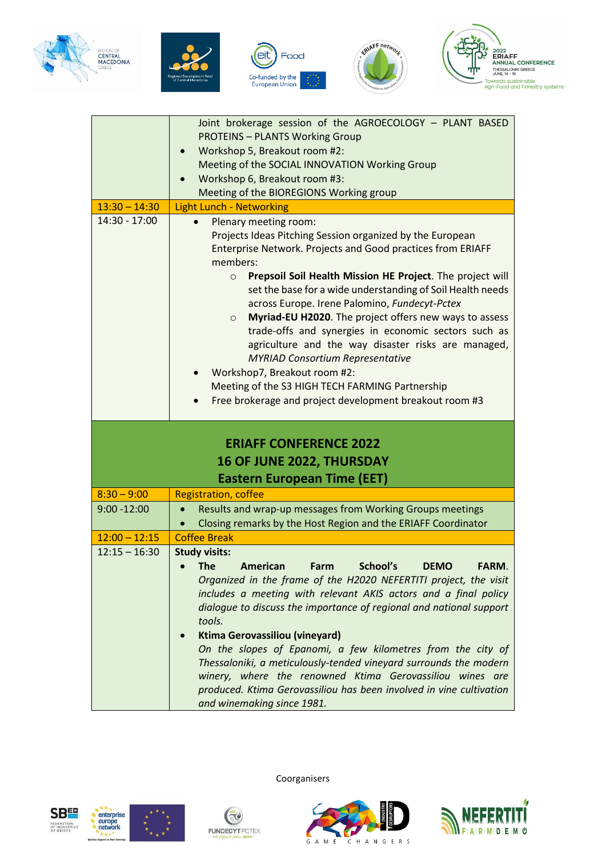









|                                                                                                  | Joint brokerage session of the AGROECOLOGY - PLANT BASED                                                                                                                                                                                                                                                                                                                                                                                                                                                                                                                                                                                                                                                                          |  |
|--------------------------------------------------------------------------------------------------|-----------------------------------------------------------------------------------------------------------------------------------------------------------------------------------------------------------------------------------------------------------------------------------------------------------------------------------------------------------------------------------------------------------------------------------------------------------------------------------------------------------------------------------------------------------------------------------------------------------------------------------------------------------------------------------------------------------------------------------|--|
|                                                                                                  | <b>PROTEINS - PLANTS Working Group</b>                                                                                                                                                                                                                                                                                                                                                                                                                                                                                                                                                                                                                                                                                            |  |
|                                                                                                  | Workshop 5, Breakout room #2:<br>$\bullet$                                                                                                                                                                                                                                                                                                                                                                                                                                                                                                                                                                                                                                                                                        |  |
|                                                                                                  | Meeting of the SOCIAL INNOVATION Working Group                                                                                                                                                                                                                                                                                                                                                                                                                                                                                                                                                                                                                                                                                    |  |
|                                                                                                  | Workshop 6, Breakout room #3:                                                                                                                                                                                                                                                                                                                                                                                                                                                                                                                                                                                                                                                                                                     |  |
|                                                                                                  | Meeting of the BIOREGIONS Working group                                                                                                                                                                                                                                                                                                                                                                                                                                                                                                                                                                                                                                                                                           |  |
| $13:30 - 14:30$                                                                                  | <b>Light Lunch - Networking</b>                                                                                                                                                                                                                                                                                                                                                                                                                                                                                                                                                                                                                                                                                                   |  |
| 14:30 - 17:00                                                                                    | Plenary meeting room:<br>Projects Ideas Pitching Session organized by the European<br>Enterprise Network. Projects and Good practices from ERIAFF<br>members:<br>Prepsoil Soil Health Mission HE Project. The project will<br>$\circ$<br>set the base for a wide understanding of Soil Health needs<br>across Europe. Irene Palomino, Fundecyt-Pctex<br>Myriad-EU H2020. The project offers new ways to assess<br>$\circ$<br>trade-offs and synergies in economic sectors such as<br>agriculture and the way disaster risks are managed,<br><b>MYRIAD Consortium Representative</b><br>Workshop7, Breakout room #2:<br>Meeting of the S3 HIGH TECH FARMING Partnership<br>Free brokerage and project development breakout room #3 |  |
| <b>ERIAFF CONFERENCE 2022</b><br>16 OF JUNE 2022, THURSDAY<br><b>Eastern European Time (EET)</b> |                                                                                                                                                                                                                                                                                                                                                                                                                                                                                                                                                                                                                                                                                                                                   |  |
| $8:30 - 9:00$                                                                                    | <b>Registration, coffee</b>                                                                                                                                                                                                                                                                                                                                                                                                                                                                                                                                                                                                                                                                                                       |  |
| $9:00 - 12:00$                                                                                   | Results and wrap-up messages from Working Groups meetings<br>$\bullet$<br>Closing remarks by the Host Region and the ERIAFF Coordinator                                                                                                                                                                                                                                                                                                                                                                                                                                                                                                                                                                                           |  |
| $12:00 - 12:15$                                                                                  | <b>Coffee Break</b>                                                                                                                                                                                                                                                                                                                                                                                                                                                                                                                                                                                                                                                                                                               |  |
| $12:15 - 16:30$                                                                                  | <b>Study visits:</b>                                                                                                                                                                                                                                                                                                                                                                                                                                                                                                                                                                                                                                                                                                              |  |
|                                                                                                  | School's<br><b>The</b><br>American<br>Farm<br><b>DEMO</b><br>FARM.<br>Organized in the frame of the H2020 NEFERTITI project, the visit<br>includes a meeting with relevant AKIS actors and a final policy<br>dialogue to discuss the importance of regional and national support<br>tools.<br><b>Ktima Gerovassiliou (vineyard)</b><br>On the slopes of Epanomi, a few kilometres from the city of<br>Thessaloniki, a meticulously-tended vineyard surrounds the modern<br>winery, where the renowned Ktima Gerovassiliou wines are                                                                                                                                                                                               |  |





Coorganisers

 $\bigcirc$